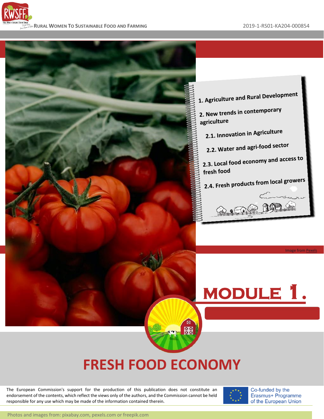